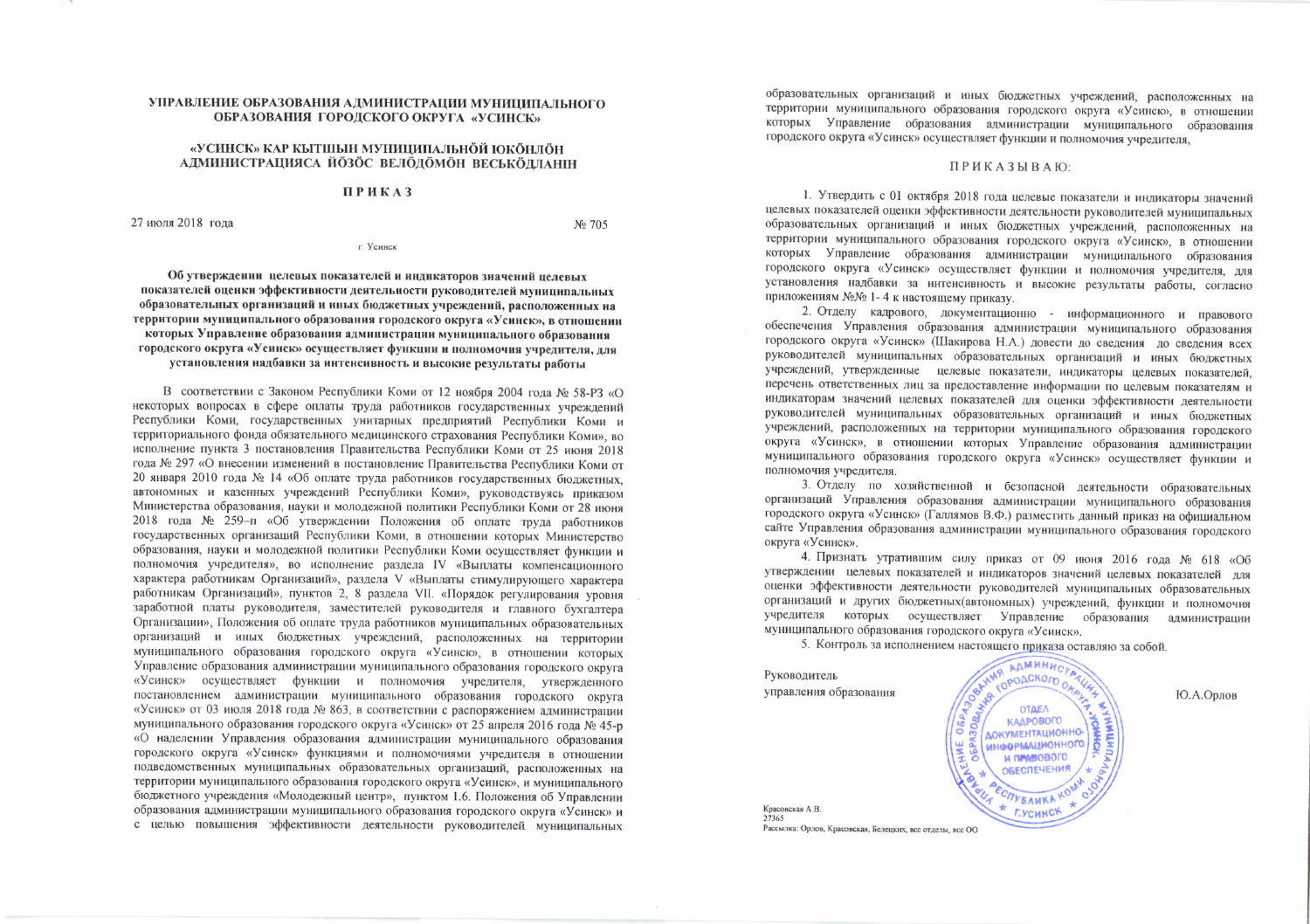## УПРАВЛЕНИЕ ОБРАЗОВАНИЯ АДМИНИСТРАЦИИ МУНИЦИПАЛЬНОГО ОБРАЗОВАНИЯ ГОРОДСКОГО ОКРУГА «УСИНСК»

#### «УСИНСК» КАР КЫТШЫН МУНИЦИПАЛЬНÖЙ ЮКÖНЛÖН АДМИНИСТРАЦИЯСА ЙОЗОС ВЕЛОДОМОН ВЕСЬКОДЛАНІН

## **ПРИКАЗ**

27 июля 2018 года

No 705

г. Усинск

Об утверждении целевых показателей и индикаторов значений целевых показателей оценки эффективности деятельности руководителей муниципальных образовательных организаций и иных бюджетных учреждений, расположенных на территории муниципального образования городского округа «Усинск», в отношении которых Управление образования администрации муниципального образования городского округа «Усинск» осуществляет функции и полномочия учредителя, для установления надбавки за интенсивность и высокие результаты работы

В соответствии с Законом Республики Коми от 12 ноября 2004 года № 58-РЗ «О некоторых вопросах в сфере оплаты труда работников государственных учреждений Республики Коми, государственных унитарных предприятий Республики Коми и территориального фонда обязательного медицинского страхования Республики Коми», во исполнение пункта 3 постановления Правительства Республики Коми от 25 июня 2018 года № 297 «О внесении изменений в постановление Правительства Республики Коми от 20 января 2010 года № 14 «Об оплате труда работников государственных бюджетных, автономных и казенных учреждений Республики Коми», руководствуясь приказом Министерства образования, науки и молодежной политики Республики Коми от 28 июня 2018 года № 259-п «Об утверждении Положения об оплате труда работников государственных организаций Республики Коми, в отношении которых Министерство образования, науки и молодежной политики Республики Коми осуществляет функции и полномочия учредителя», во исполнение раздела IV «Выплаты компенсационного характера работникам Организаций», раздела V «Выплаты стимулирующего характера работникам Организаций», пунктов 2, 8 раздела VII. «Порядок регулирования уровня заработной платы руководителя, заместителей руководителя и главного бухгалтера Организации», Положения об оплате труда работников муниципальных образовательных организаций и иных бюджетных учреждений, расположенных на территории муниципального образования городского округа «Усинск», в отношении которых Управление образования администрации муниципального образования городского округа «Усинск» осуществляет функции и полномочия учредителя, утвержденного постановлением администрации муниципального образования городского округа «Усинск» от 03 июля 2018 года № 863, в соответствии с распоряжением администрации муниципального образования городского округа «Усинск» от 25 апреля 2016 года № 45-р «О наделении Управления образования администрации муниципального образования городского округа «Усинск» функциями и полномочиями учредителя в отношении подведомственных муниципальных образовательных организаций, расположенных на территории муниципального образования городского округа «Усинск», и муниципального бюджетного учреждения «Молодежный центр», пунктом 1.6. Положения об Управлении образования администрации муниципального образования городского округа «Усинск» и с целью повышения эффективности деятельности руководителей муниципальных

образовательных организаций и иных бюджетных учреждений, расположенных на территории муниципального образования городского округа «Усинск», в отношении которых Управление образования администрации муниципального образования городского округа «Усинск» осуществляет функции и полномочия учредителя,

#### ПРИКАЗЫВАЮ:

1. Утвердить с 01 октября 2018 года целевые показатели и индикаторы значений целевых показателей оценки эффективности деятельности руководителей муниципальных образовательных организаций и иных бюджетных учреждений, расположенных на территории муниципального образования городского округа «Усинск», в отношении которых Управление образования администрации муниципального образования городского округа «Усинск» осуществляет функции и полномочия учредителя, для установления надбавки за интенсивность и высокие результаты работы, согласно приложениям №№ 1-4 к настоящему приказу.

2. Отделу кадрового, документационно - информационного и правового обеспечения Управления образования администрации муниципального образования городского округа «Усинск» (Шакирова Н.А.) довести до сведения до сведения всех руководителей муниципальных образовательных организаций и иных бюджетных учреждений, утвержденные целевые показатели, индикаторы целевых показателей, перечень ответственных лиц за предоставление информации по целевым показателям и индикаторам значений целевых показателей для оценки эффективности деятельности руководителей муниципальных образовательных организаций и иных бюджетных учреждений, расположенных на территории муниципального образования городского округа «Усинск», в отношении которых Управление образования администрации муниципального образования городского округа «Усинск» осуществляет функции и полномочия учредителя.

3. Отделу по хозяйственной и безопасной деятельности образовательных организаций Управления образования администрации муниципального образования городского округа «Усинск» (Галлямов В.Ф.) разместить данный приказ на официальном сайте Управления образования администрации муниципального образования городского округа «Усинск».

4. Признать утратившим силу приказ от 09 июня 2016 года № 618 «Об утверждении целевых показателей и индикаторов значений целевых показателей для оценки эффективности деятельности руководителей муниципальных образовательных организаций и других бюджетных (автономных) учреждений, функции и полномочия учредителя которых осуществляет Управление образования администрации муниципального образования городского округа «Усинск».

5. Контроль за исполнением настоящего приказа оставляю за собой.

**AAMHHHC** Руководитель **COPOACKORD** управления образования **OTAEA** КАДРОВОГО **ДОКУМЕНТАЦИОННО**информационного и превового **ОБЕСПЕЧЕНИЯ ECRYBANKA KO** \* F.YCHHCK Красовская А.В. 27365 Рассылка: Орлов, Красовская, Белецких, все отделы, все ОО

Ю.А.Орлов